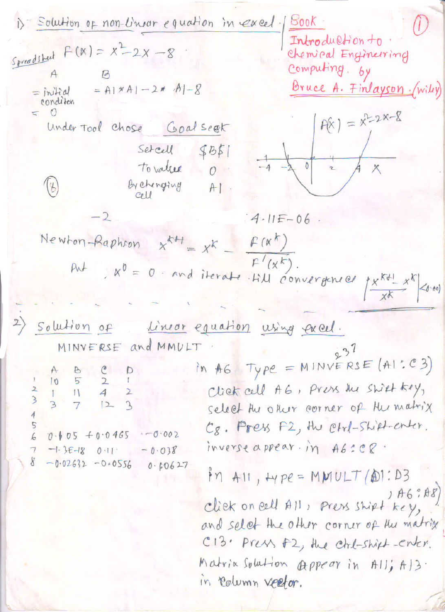1) Solution op non-Unjar equation in cycle:  
\n**Second** From 1000  
\n**Second** In the image, 
$$
h = 0
$$
  
\n $h = 0$   
\n $h = 0$   
\n $h = 0$   
\n $h = 0$   
\n $h = 0$   
\n $h = 0$   
\n $h = 0$   
\n $h = 0$   
\n $h = 0$   
\n $h = 0$   
\n $h = 0$   
\n $h = 0$   
\n $h = 0$   
\n $h = 0$   
\n $h = 0$   
\n $h = 0$   
\n $h = 0$   
\n $h = 0$   
\n $h = 0$   
\n $h = 0$   
\n $h = 0$   
\n $h = 0$   
\n $h = 0$   
\n $h = 0$   
\n $h = 0$   
\n $h = 0$   
\n $h = 0$   
\n $h = 0$   
\n $h = 0$   
\n $h = 0$   
\n $h = 0$   
\n $h = 0$   
\n $h = 0$   
\n $h = 0$   
\n $h = 0$   
\n $h = 0$   
\n $h = 0$   
\n $h = 0$   
\n $h = 0$   
\n $h = 0$   
\n $h = 0$   
\n $h = 0$   
\n $h = 0$   
\n $h = 0$   
\n $h = 0$   
\n $h = 0$   
\n $h = 0$   
\n $h = 0$   
\n $h = 0$   
\n $h = 0$   
\n $h = 0$   
\n $h = 0$   
\n $h = 0$   
\n $h = 0$   
\n $h = 0$ <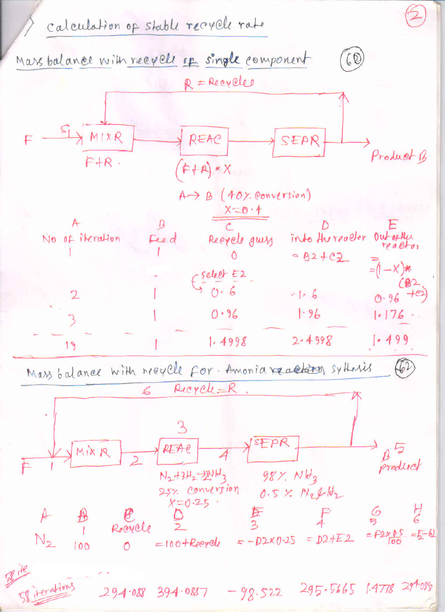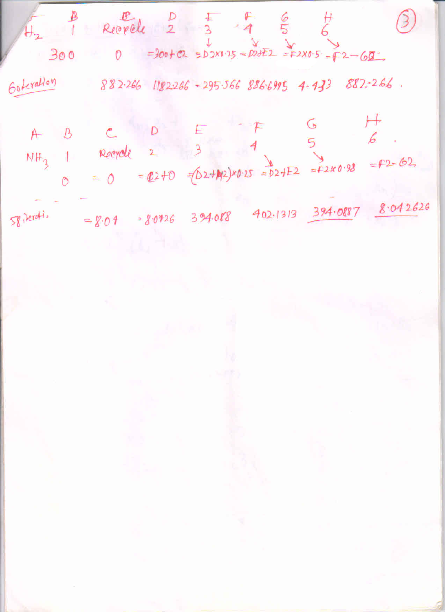$300$  = $300+22 = 52 \times 125 = 22 \times 125 = 72-60$ Goteration  $882.266$   $1182.266 - 295.566$   $886.6995$  4-433  $882.266$ .

 $\mapsto$ G  $D$  $\mathcal{B}$  $\mathcal{C}$  $A$ 5  $3$ NH<sub>3</sub> 1 Reeyole 2  $= 2 - 62$ = 0 = 02+0 =  $(D2+M2)x0.25 = D2+E2 = F2x0.98$  $\circ$ 

 $8.04 = 8.0426$  394.088 402.1313 394.0887 8.042626 Spiterati.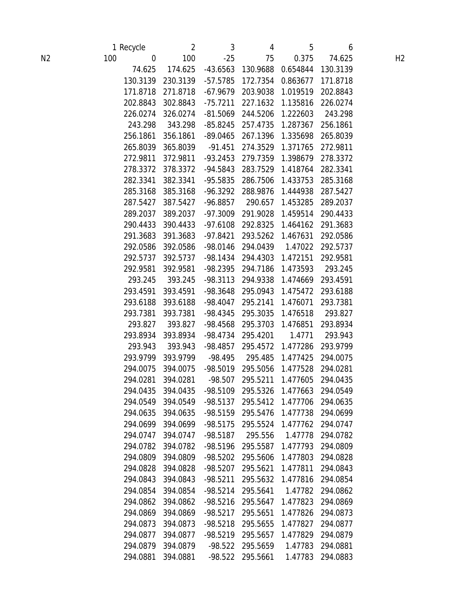|                |     | 1 Recycle            | $\overline{2}$       | 3                     | 4                   | 5                    | 6                    |                |
|----------------|-----|----------------------|----------------------|-----------------------|---------------------|----------------------|----------------------|----------------|
| N <sub>2</sub> | 100 | $\pmb{0}$            | 100                  | $-25$                 | 75                  | 0.375                | 74.625               | H <sub>2</sub> |
|                |     | 74.625               | 174.625              | $-43.6563$            | 130.9688            | 0.654844             | 130.3139             |                |
|                |     | 130.3139             | 230.3139             | $-57.5785$            | 172.7354            | 0.863677             | 171.8718             |                |
|                |     | 171.8718             | 271.8718             | $-67.9679$            | 203.9038            | 1.019519             | 202.8843             |                |
|                |     | 202.8843             | 302.8843             | $-75.7211$            | 227.1632            | 1.135816             | 226.0274             |                |
|                |     | 226.0274             | 326.0274             | $-81.5069$            | 244.5206            | 1.222603             | 243.298              |                |
|                |     | 243.298              | 343.298              | $-85.8245$            | 257.4735            | 1.287367             | 256.1861             |                |
|                |     | 256.1861             | 356.1861             | $-89.0465$            | 267.1396            | 1.335698             | 265.8039             |                |
|                |     | 265.8039             | 365.8039             | $-91.451$             | 274.3529            | 1.371765             | 272.9811             |                |
|                |     | 272.9811             | 372.9811             | $-93.2453$            | 279.7359            | 1.398679             | 278.3372             |                |
|                |     | 278.3372             | 378.3372             | $-94.5843$            | 283.7529            | 1.418764             | 282.3341             |                |
|                |     | 282.3341             | 382.3341             | $-95.5835$            | 286.7506            | 1.433753             | 285.3168             |                |
|                |     | 285.3168             | 385.3168             | $-96.3292$            | 288.9876            | 1.444938             | 287.5427             |                |
|                |     | 287.5427             | 387.5427             | $-96.8857$            | 290.657             | 1.453285             | 289.2037             |                |
|                |     | 289.2037             | 389.2037             | $-97.3009$            | 291.9028            | 1.459514             | 290.4433             |                |
|                |     | 290.4433             | 390.4433             | $-97.6108$            | 292.8325            | 1.464162             | 291.3683             |                |
|                |     | 291.3683             | 391.3683             | $-97.8421$            | 293.5262            | 1.467631             | 292.0586             |                |
|                |     | 292.0586             | 392.0586             | $-98.0146$            | 294.0439            | 1.47022              | 292.5737             |                |
|                |     | 292.5737             | 392.5737             | $-98.1434$            | 294.4303            | 1.472151             | 292.9581             |                |
|                |     | 292.9581             | 392.9581             | -98.2395              | 294.7186            | 1.473593             | 293.245              |                |
|                |     | 293.245              | 393.245              | $-98.3113$            | 294.9338            | 1.474669             | 293.4591             |                |
|                |     | 293.4591             | 393.4591             | -98.3648              | 295.0943            | 1.475472             | 293.6188             |                |
|                |     | 293.6188             | 393.6188             | $-98.4047$            | 295.2141            | 1.476071             | 293.7381             |                |
|                |     | 293.7381             | 393.7381             | -98.4345              | 295.3035            | 1.476518             | 293.827              |                |
|                |     | 293.827              | 393.827              | -98.4568              | 295.3703            | 1.476851             | 293.8934             |                |
|                |     | 293.8934             | 393.8934             | -98.4734              | 295.4201            | 1.4771               | 293.943              |                |
|                |     | 293.943              | 393.943              | $-98.4857$            | 295.4572            | 1.477286             | 293.9799             |                |
|                |     | 293.9799             | 393.9799             | $-98.495$             | 295.485<br>295.5056 | 1.477425             | 294.0075             |                |
|                |     | 294.0075<br>294.0281 | 394.0075<br>394.0281 | -98.5019              | 295.5211            | 1.477528<br>1.477605 | 294.0281<br>294.0435 |                |
|                |     | 294.0435             | 394.0435             | $-98.507$<br>-98.5109 | 295.5326            | 1.477663             | 294.0549             |                |
|                |     | 294.0549             | 394.0549             | $-98.5137$            | 295.5412            | 1.477706             | 294.0635             |                |
|                |     | 294.0635             | 394.0635             | $-98.5159$            | 295.5476            | 1.477738             | 294.0699             |                |
|                |     | 294.0699             | 394.0699             | $-98.5175$            | 295.5524            | 1.477762             | 294.0747             |                |
|                |     | 294.0747             | 394.0747             | $-98.5187$            | 295.556             | 1.47778              | 294.0782             |                |
|                |     | 294.0782             | 394.0782             | -98.5196              | 295.5587            | 1.477793             | 294.0809             |                |
|                |     | 294.0809             | 394.0809             | $-98.5202$            | 295.5606            | 1.477803             | 294.0828             |                |
|                |     | 294.0828             | 394.0828             | $-98.5207$            | 295.5621            | 1.477811             | 294.0843             |                |
|                |     | 294.0843             | 394.0843             | $-98.5211$            | 295.5632            | 1.477816             | 294.0854             |                |
|                |     | 294.0854             | 394.0854             | $-98.5214$            | 295.5641            | 1.47782              | 294.0862             |                |
|                |     | 294.0862             | 394.0862             | $-98.5216$            | 295.5647            | 1.477823             | 294.0869             |                |
|                |     | 294.0869             | 394.0869             | $-98.5217$            | 295.5651            | 1.477826             | 294.0873             |                |
|                |     | 294.0873             | 394.0873             | $-98.5218$            | 295.5655            | 1.477827             | 294.0877             |                |
|                |     | 294.0877             | 394.0877             | $-98.5219$            | 295.5657            | 1.477829             | 294.0879             |                |
|                |     | 294.0879             | 394.0879             | $-98.522$             | 295.5659            | 1.47783              | 294.0881             |                |
|                |     | 294.0881             | 394.0881             | $-98.522$             | 295.5661            | 1.47783              | 294.0883             |                |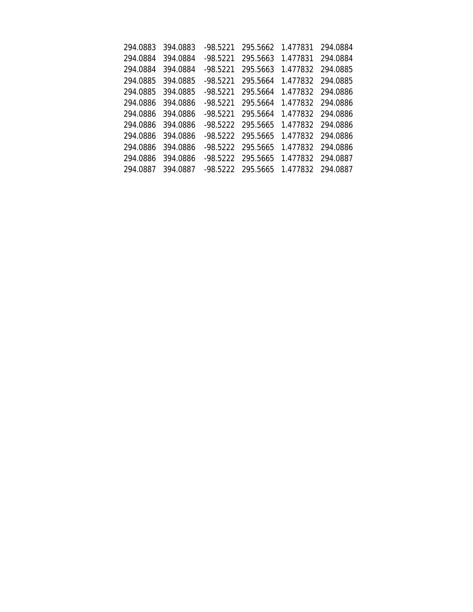| 294.0883 | 394.0883 | $-98.5221$ | 295.5662 | 1.477831 | 294.0884          |
|----------|----------|------------|----------|----------|-------------------|
| 294.0884 | 394.0884 | $-98.5221$ | 295.5663 | 1.477831 | 294.0884          |
| 294.0884 | 394.0884 | $-98.5221$ | 295.5663 | 1.477832 | 294.0885          |
| 294.0885 | 394.0885 | $-98.5221$ | 295.5664 | 1.477832 | 294.0885          |
| 294.0885 | 394.0885 | $-98.5221$ | 295.5664 |          | 1.477832 294.0886 |
| 294.0886 | 394.0886 | $-98.5221$ | 295.5664 |          | 1.477832 294.0886 |
| 294.0886 | 394.0886 | $-98.5221$ | 295.5664 |          | 1.477832 294.0886 |
| 294.0886 | 394.0886 | $-98.5222$ | 295.5665 |          | 1.477832 294.0886 |
| 294.0886 | 394.0886 | -98.5222   | 295.5665 |          | 1.477832 294.0886 |
| 294.0886 | 394.0886 | $-98.5222$ | 295.5665 |          | 1.477832 294.0886 |
| 294.0886 | 394.0886 | -98.5222   | 295.5665 |          | 1.477832 294.0887 |
| 294.0887 | 394.0887 | -98.5222   | 295.5665 |          | 1.477832 294.0887 |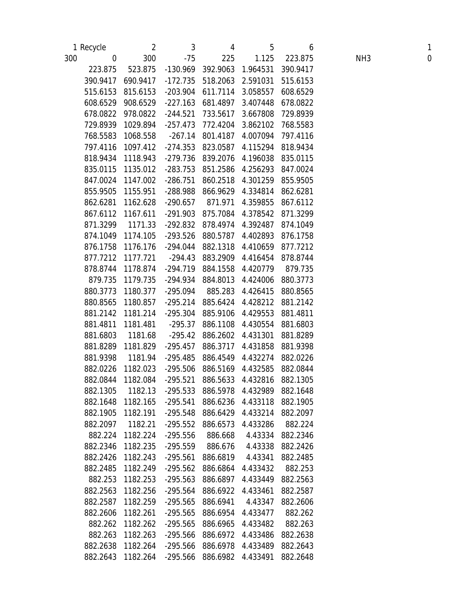|     | 1 Recycle        | 2        | 3          | 4        | 5                                   | 6        |                 | $\mathbf{1}$ |
|-----|------------------|----------|------------|----------|-------------------------------------|----------|-----------------|--------------|
| 300 | $\boldsymbol{0}$ | 300      | $-75$      | 225      | 1.125                               | 223.875  | NH <sub>3</sub> | $\mathbf 0$  |
|     | 223.875          | 523.875  | $-130.969$ | 392.9063 | 1.964531                            | 390.9417 |                 |              |
|     | 390.9417         | 690.9417 | $-172.735$ | 518.2063 | 2.591031                            | 515.6153 |                 |              |
|     | 515.6153         | 815.6153 | $-203.904$ | 611.7114 | 3.058557                            | 608.6529 |                 |              |
|     | 608.6529         | 908.6529 | $-227.163$ | 681.4897 | 3.407448                            | 678.0822 |                 |              |
|     | 678.0822         | 978.0822 | $-244.521$ | 733.5617 | 3.667808                            | 729.8939 |                 |              |
|     | 729.8939         | 1029.894 | $-257.473$ | 772.4204 | 3.862102                            | 768.5583 |                 |              |
|     | 768.5583         | 1068.558 | $-267.14$  | 801.4187 | 4.007094                            | 797.4116 |                 |              |
|     | 797.4116         | 1097.412 | $-274.353$ | 823.0587 | 4.115294                            | 818.9434 |                 |              |
|     | 818.9434         | 1118.943 | $-279.736$ | 839.2076 | 4.196038                            | 835.0115 |                 |              |
|     | 835.0115         | 1135.012 | $-283.753$ | 851.2586 | 4.256293                            | 847.0024 |                 |              |
|     | 847.0024         | 1147.002 | $-286.751$ | 860.2518 | 4.301259                            | 855.9505 |                 |              |
|     | 855.9505         | 1155.951 | $-288.988$ | 866.9629 | 4.334814                            | 862.6281 |                 |              |
|     | 862.6281         | 1162.628 | $-290.657$ | 871.971  | 4.359855                            | 867.6112 |                 |              |
|     | 867.6112         | 1167.611 | $-291.903$ | 875.7084 | 4.378542                            | 871.3299 |                 |              |
|     | 871.3299         | 1171.33  | $-292.832$ | 878.4974 | 4.392487                            | 874.1049 |                 |              |
|     | 874.1049         | 1174.105 | $-293.526$ | 880.5787 | 4.402893                            | 876.1758 |                 |              |
|     | 876.1758         | 1176.176 | -294.044   | 882.1318 | 4.410659                            | 877.7212 |                 |              |
|     | 877.7212         | 1177.721 | $-294.43$  | 883.2909 | 4.416454                            | 878.8744 |                 |              |
|     | 878.8744         | 1178.874 | $-294.719$ | 884.1558 | 4.420779                            | 879.735  |                 |              |
|     | 879.735          | 1179.735 | $-294.934$ | 884.8013 | 4.424006                            | 880.3773 |                 |              |
|     | 880.3773         | 1180.377 | $-295.094$ | 885.283  | 4.426415                            | 880.8565 |                 |              |
|     | 880.8565         | 1180.857 | $-295.214$ | 885.6424 | 4.428212                            | 881.2142 |                 |              |
|     | 881.2142         | 1181.214 | $-295.304$ | 885.9106 | 4.429553                            | 881.4811 |                 |              |
|     | 881.4811         | 1181.481 | $-295.37$  | 886.1108 | 4.430554                            | 881.6803 |                 |              |
|     | 881.6803         | 1181.68  | $-295.42$  | 886.2602 | 4.431301                            | 881.8289 |                 |              |
|     | 881.8289         | 1181.829 | $-295.457$ | 886.3717 | 4.431858                            | 881.9398 |                 |              |
|     | 881.9398         | 1181.94  | $-295.485$ | 886.4549 | 4.432274                            | 882.0226 |                 |              |
|     | 882.0226         | 1182.023 | $-295.506$ | 886.5169 | 4.432585                            | 882.0844 |                 |              |
|     | 882.0844         | 1182.084 | $-295.521$ | 886.5633 | 4.432816                            | 882.1305 |                 |              |
|     | 882.1305         | 1182.13  |            |          | -295.533 886.5978 4.432989 882.1648 |          |                 |              |
|     | 882.1648         | 1182.165 | $-295.541$ | 886.6236 | 4.433118                            | 882.1905 |                 |              |
|     | 882.1905         | 1182.191 | $-295.548$ | 886.6429 | 4.433214                            | 882.2097 |                 |              |
|     | 882.2097         | 1182.21  | $-295.552$ | 886.6573 | 4.433286                            | 882.224  |                 |              |
|     | 882.224          | 1182.224 | $-295.556$ | 886.668  | 4.43334                             | 882.2346 |                 |              |
|     | 882.2346         | 1182.235 | $-295.559$ | 886.676  | 4.43338                             | 882.2426 |                 |              |
|     | 882.2426         | 1182.243 | $-295.561$ | 886.6819 | 4.43341                             | 882.2485 |                 |              |
|     | 882.2485         | 1182.249 | $-295.562$ | 886.6864 | 4.433432                            | 882.253  |                 |              |
|     | 882.253          | 1182.253 | $-295.563$ | 886.6897 | 4.433449                            | 882.2563 |                 |              |
|     | 882.2563         | 1182.256 | $-295.564$ | 886.6922 | 4.433461                            | 882.2587 |                 |              |
|     | 882.2587         | 1182.259 | $-295.565$ | 886.6941 | 4.43347                             | 882.2606 |                 |              |
|     | 882.2606         | 1182.261 | $-295.565$ | 886.6954 | 4.433477                            | 882.262  |                 |              |
|     | 882.262          | 1182.262 | $-295.565$ | 886.6965 | 4.433482                            | 882.263  |                 |              |
|     | 882.263          | 1182.263 | $-295.566$ | 886.6972 | 4.433486                            | 882.2638 |                 |              |
|     | 882.2638         | 1182.264 | $-295.566$ | 886.6978 | 4.433489                            | 882.2643 |                 |              |
|     | 882.2643         | 1182.264 | $-295.566$ | 886.6982 | 4.433491                            | 882.2648 |                 |              |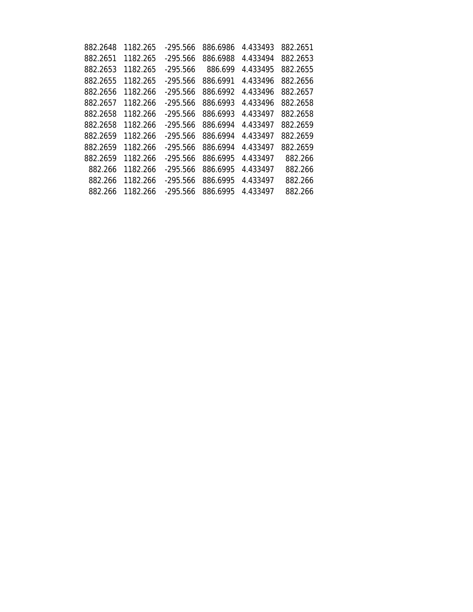| 882.2648 | 1182.265 | -295.566   | 886.6986 | 4.433493 | 882.2651 |
|----------|----------|------------|----------|----------|----------|
| 882.2651 | 1182.265 | $-295.566$ | 886.6988 | 4.433494 | 882.2653 |
| 882.2653 | 1182.265 | $-295.566$ | 886.699  | 4.433495 | 882.2655 |
| 882.2655 | 1182.265 | $-295.566$ | 886.6991 | 4.433496 | 882.2656 |
| 882.2656 | 1182.266 | $-295.566$ | 886.6992 | 4.433496 | 882.2657 |
| 882.2657 | 1182.266 | $-295.566$ | 886.6993 | 4.433496 | 882.2658 |
| 882.2658 | 1182.266 | $-295.566$ | 886.6993 | 4.433497 | 882.2658 |
| 882.2658 | 1182.266 | $-295.566$ | 886.6994 | 4.433497 | 882.2659 |
| 882.2659 | 1182.266 | $-295.566$ | 886.6994 | 4.433497 | 882.2659 |
| 882.2659 | 1182.266 | $-295.566$ | 886.6994 | 4.433497 | 882.2659 |
| 882.2659 | 1182.266 | $-295.566$ | 886.6995 | 4.433497 | 882.266  |
| 882.266  | 1182.266 | $-295.566$ | 886.6995 | 4.433497 | 882.266  |
| 882.266  | 1182.266 | $-295.566$ | 886.6995 | 4.433497 | 882.266  |
| 882.266  | 1182.266 | -295.566   | 886.6995 | 4.433497 | 882.266  |
|          |          |            |          |          |          |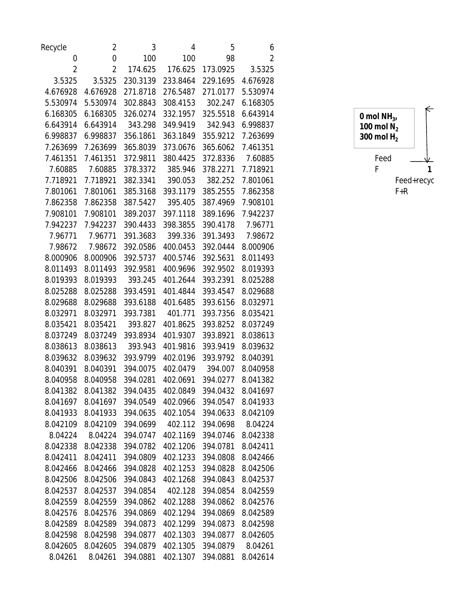| Recycle          | 2                 | 3        | 4        | 5        | 6              |                |
|------------------|-------------------|----------|----------|----------|----------------|----------------|
| $\boldsymbol{0}$ | $\boldsymbol{0}$  | 100      | 100      | 98       | $\overline{2}$ |                |
| $\overline{c}$   | 2                 | 174.625  | 176.625  | 173.0925 | 3.5325         |                |
| 3.5325           | 3.5325            | 230.3139 | 233.8464 | 229.1695 | 4.676928       |                |
| 4.676928         | 4.676928          | 271.8718 | 276.5487 | 271.0177 | 5.530974       |                |
| 5.530974         | 5.530974          | 302.8843 | 308.4153 | 302.247  | 6.168305       |                |
| 6.168305         | 6.168305          | 326.0274 | 332.1957 | 325.5518 | 6.643914       | 0 mol $NH_{3}$ |
| 6.643914         | 6.643914          | 343.298  | 349.9419 | 342.943  | 6.998837       | 100 mol $N_2$  |
| 6.998837         | 6.998837          | 356.1861 | 363.1849 | 355.9212 | 7.263699       | 300 mol $H2$   |
| 7.263699         | 7.263699          | 365.8039 | 373.0676 | 365.6062 | 7.461351       |                |
| 7.461351         | 7.461351          | 372.9811 | 380.4425 | 372.8336 | 7.60885        | Feed           |
| 7.60885          | 7.60885           | 378.3372 | 385.946  | 378.2271 | 7.718921       | F              |
| 7.718921         | 7.718921          | 382.3341 | 390.053  | 382.252  | 7.801061       | Feed+recy      |
| 7.801061         | 7.801061          | 385.3168 | 393.1179 | 385.2555 | 7.862358       | $F+R$          |
| 7.862358         | 7.862358          | 387.5427 | 395.405  | 387.4969 | 7.908101       |                |
| 7.908101         | 7.908101          | 389.2037 | 397.1118 | 389.1696 | 7.942237       |                |
| 7.942237         | 7.942237          | 390.4433 | 398.3855 | 390.4178 | 7.96771        |                |
| 7.96771          | 7.96771           | 391.3683 | 399.336  | 391.3493 | 7.98672        |                |
| 7.98672          | 7.98672           | 392.0586 | 400.0453 | 392.0444 | 8.000906       |                |
| 8.000906         | 8.000906          | 392.5737 | 400.5746 | 392.5631 | 8.011493       |                |
| 8.011493         | 8.011493          | 392.9581 | 400.9696 | 392.9502 | 8.019393       |                |
| 8.019393         | 8.019393          | 393.245  | 401.2644 | 393.2391 | 8.025288       |                |
| 8.025288         | 8.025288          | 393.4591 | 401.4844 | 393.4547 | 8.029688       |                |
| 8.029688         | 8.029688          | 393.6188 | 401.6485 | 393.6156 | 8.032971       |                |
| 8.032971         | 8.032971          | 393.7381 | 401.771  | 393.7356 | 8.035421       |                |
| 8.035421         | 8.035421          | 393.827  | 401.8625 | 393.8252 | 8.037249       |                |
| 8.037249         | 8.037249          | 393.8934 | 401.9307 | 393.8921 | 8.038613       |                |
| 8.038613         | 8.038613          | 393.943  | 401.9816 | 393.9419 | 8.039632       |                |
| 8.039632         | 8.039632          | 393.9799 | 402.0196 | 393.9792 | 8.040391       |                |
| 8.040391         | 8.040391          | 394.0075 | 402.0479 | 394.007  | 8.040958       |                |
| 8.040958         | 8.040958          | 394.0281 | 402.0691 | 394.0277 | 8.041382       |                |
|                  | 8.041382 8.041382 | 394.0435 | 402.0849 | 394.0432 | 8.041697       |                |
| 8.041697         | 8.041697          | 394.0549 | 402.0966 | 394.0547 | 8.041933       |                |
| 8.041933         | 8.041933          | 394.0635 | 402.1054 | 394.0633 | 8.042109       |                |
| 8.042109         | 8.042109          | 394.0699 | 402.112  | 394.0698 | 8.04224        |                |
| 8.04224          | 8.04224           | 394.0747 | 402.1169 | 394.0746 | 8.042338       |                |
| 8.042338         | 8.042338          | 394.0782 | 402.1206 | 394.0781 | 8.042411       |                |
| 8.042411         | 8.042411          | 394.0809 | 402.1233 | 394.0808 | 8.042466       |                |
| 8.042466         | 8.042466          | 394.0828 | 402.1253 | 394.0828 | 8.042506       |                |
| 8.042506         | 8.042506          | 394.0843 | 402.1268 | 394.0843 | 8.042537       |                |
| 8.042537         | 8.042537          | 394.0854 | 402.128  | 394.0854 | 8.042559       |                |
| 8.042559         | 8.042559          | 394.0862 | 402.1288 | 394.0862 | 8.042576       |                |
| 8.042576         | 8.042576          | 394.0869 | 402.1294 | 394.0869 | 8.042589       |                |
| 8.042589         | 8.042589          | 394.0873 | 402.1299 | 394.0873 | 8.042598       |                |
| 8.042598         | 8.042598          | 394.0877 | 402.1303 | 394.0877 | 8.042605       |                |
| 8.042605         | 8.042605          | 394.0879 | 402.1305 | 394.0879 | 8.04261        |                |
| 8.04261          | 8.04261           | 394.0881 | 402.1307 | 394.0881 | 8.042614       |                |

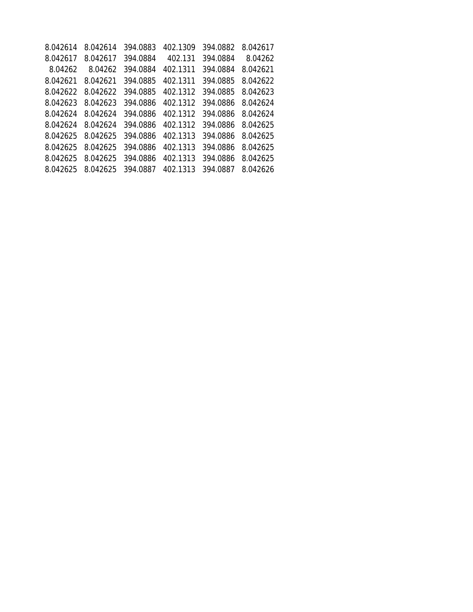| 8.042614 | 8.042614 | 394.0883 | 402.1309 | 394.0882 | 8.042617 |
|----------|----------|----------|----------|----------|----------|
| 8.042617 | 8.042617 | 394.0884 | 402.131  | 394.0884 | 8.04262  |
| 8.04262  | 8.04262  | 394.0884 | 402.1311 | 394.0884 | 8.042621 |
| 8.042621 | 8.042621 | 394.0885 | 402.1311 | 394.0885 | 8.042622 |
| 8.042622 | 8.042622 | 394.0885 | 402.1312 | 394.0885 | 8.042623 |
| 8.042623 | 8.042623 | 394.0886 | 402.1312 | 394.0886 | 8.042624 |
| 8.042624 | 8.042624 | 394.0886 | 402.1312 | 394.0886 | 8.042624 |
| 8.042624 | 8.042624 | 394.0886 | 402.1312 | 394.0886 | 8.042625 |
| 8.042625 | 8.042625 | 394.0886 | 402.1313 | 394.0886 | 8.042625 |
| 8.042625 | 8.042625 | 394.0886 | 402.1313 | 394.0886 | 8.042625 |
| 8.042625 | 8.042625 | 394.0886 | 402.1313 | 394.0886 | 8.042625 |
| 8.042625 | 8.042625 | 394.0887 | 402.1313 | 394.0887 | 8.042626 |
|          |          |          |          |          |          |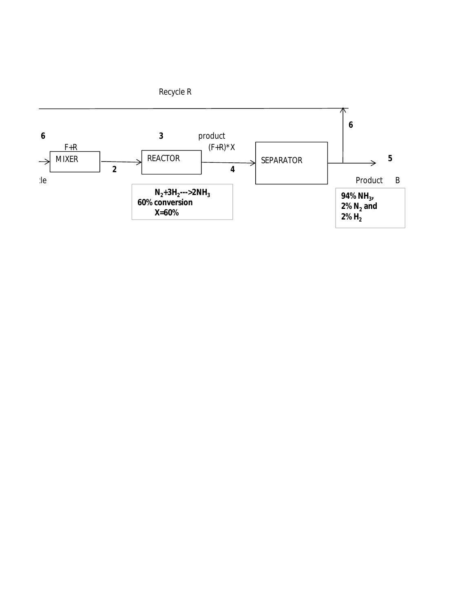